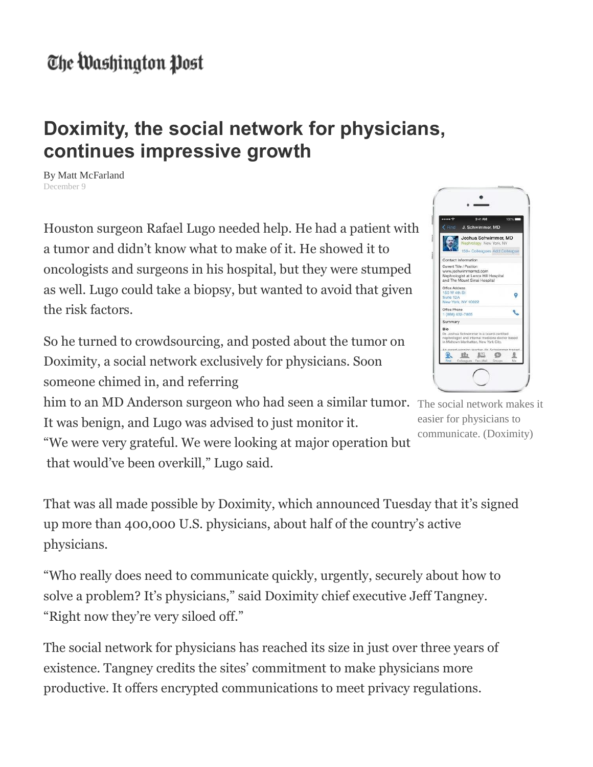## The Washington Post

## **Doximity, the social network for physicians, continues impressive growth**

By Matt McFarland December 9

Houston surgeon Rafael Lugo needed help. He had a patient with a tumor and didn't know what to make of it. He showed it to oncologists and surgeons in his hospital, but they were stumped as well. Lugo could take a biopsy, but wanted to avoid that given the risk factors.

So he turned to crowdsourcing, and posted about the tumor on Doximity, a social network exclusively for physicians. Soon someone chimed in, and referring

him to an MD Anderson surgeon who had seen a similar tumor. The social network makes it It was benign, and Lugo was advised to just monitor it.

"We were very grateful. We were looking at major operation but that would've been overkill," Lugo said.

 $222$ **IEI**  $\circ$ 

easier for physicians to communicate. (Doximity)

That was all made possible by Doximity, which announced Tuesday that it's signed up more than 400,000 U.S. physicians, about half of the country's active physicians.

"Who really does need to communicate quickly, urgently, securely about how to solve a problem? It's physicians," said Doximity chief executive Jeff Tangney. "Right now they're very siloed off."

The social network for physicians has reached its size in just over three years of existence. Tangney credits the sites' commitment to make physicians more productive. It offers encrypted communications to meet privacy regulations.